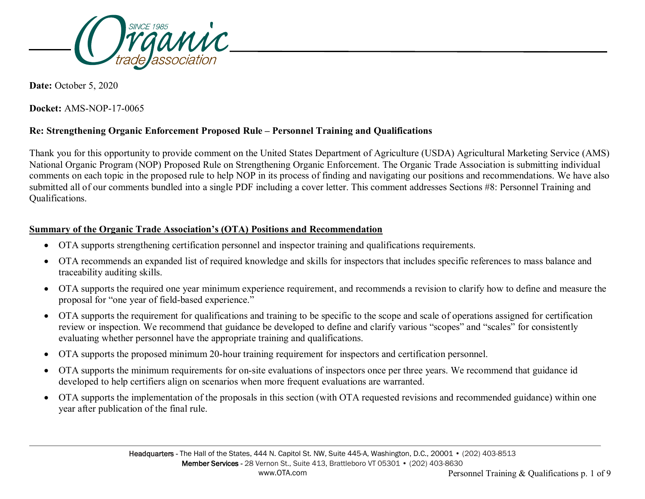

**Date:** October 5, 2020

**Docket:** AMS-NOP-17-0065

## **Re: Strengthening Organic Enforcement Proposed Rule – Personnel Training and Qualifications**

Thank you for this opportunity to provide comment on the United States Department of Agriculture (USDA) Agricultural Marketing Service (AMS) National Organic Program (NOP) Proposed Rule on Strengthening Organic Enforcement. The Organic Trade Association is submitting individual comments on each topic in the proposed rule to help NOP in its process of finding and navigating our positions and recommendations. We have also submitted all of our comments bundled into a single PDF including a cover letter. This comment addresses Sections #8: Personnel Training and Qualifications.

#### **Summary of the Organic Trade Association's (OTA) Positions and Recommendation**

- OTA supports strengthening certification personnel and inspector training and qualifications requirements.
- OTA recommends an expanded list of required knowledge and skills for inspectors that includes specific references to mass balance and traceability auditing skills.
- OTA supports the required one year minimum experience requirement, and recommends a revision to clarify how to define and measure the proposal for "one year of field-based experience."
- OTA supports the requirement for qualifications and training to be specific to the scope and scale of operations assigned for certification review or inspection. We recommend that guidance be developed to define and clarify various "scopes" and "scales" for consistently evaluating whether personnel have the appropriate training and qualifications.
- OTA supports the proposed minimum 20-hour training requirement for inspectors and certification personnel.
- OTA supports the minimum requirements for on-site evaluations of inspectors once per three years. We recommend that guidance id developed to help certifiers align on scenarios when more frequent evaluations are warranted.
- OTA supports the implementation of the proposals in this section (with OTA requested revisions and recommended guidance) within one year after publication of the final rule.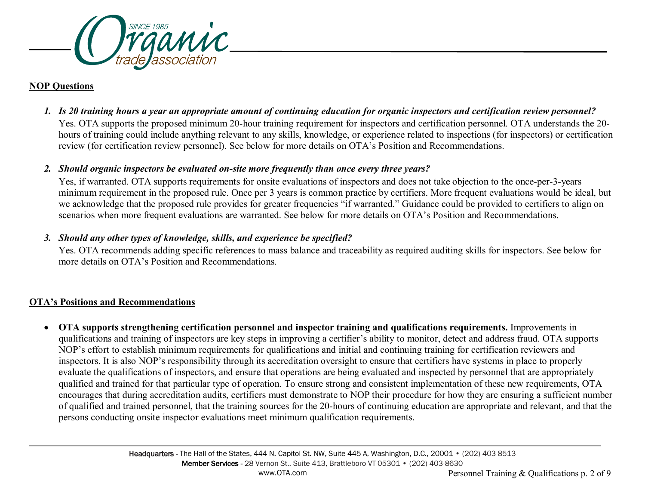

## **NOP Questions**

*1. Is 20 training hours a year an appropriate amount of continuing education for organic inspectors and certification review personnel?* Yes. OTA supports the proposed minimum 20-hour training requirement for inspectors and certification personnel. OTA understands the 20 hours of training could include anything relevant to any skills, knowledge, or experience related to inspections (for inspectors) or certification review (for certification review personnel). See below for more details on OTA's Position and Recommendations.

## *2. Should organic inspectors be evaluated on-site more frequently than once every three years?*

Yes, if warranted. OTA supports requirements for onsite evaluations of inspectors and does not take objection to the once-per-3-years minimum requirement in the proposed rule. Once per 3 years is common practice by certifiers. More frequent evaluations would be ideal, but we acknowledge that the proposed rule provides for greater frequencies "if warranted." Guidance could be provided to certifiers to align on scenarios when more frequent evaluations are warranted. See below for more details on OTA's Position and Recommendations.

## *3. Should any other types of knowledge, skills, and experience be specified?*

Yes. OTA recommends adding specific references to mass balance and traceability as required auditing skills for inspectors. See below for more details on OTA's Position and Recommendations.

## **OTA's Positions and Recommendations**

• **OTA supports strengthening certification personnel and inspector training and qualifications requirements.** Improvements in qualifications and training of inspectors are key steps in improving a certifier's ability to monitor, detect and address fraud. OTA supports NOP's effort to establish minimum requirements for qualifications and initial and continuing training for certification reviewers and inspectors. It is also NOP's responsibility through its accreditation oversight to ensure that certifiers have systems in place to properly evaluate the qualifications of inspectors, and ensure that operations are being evaluated and inspected by personnel that are appropriately qualified and trained for that particular type of operation. To ensure strong and consistent implementation of these new requirements, OTA encourages that during accreditation audits, certifiers must demonstrate to NOP their procedure for how they are ensuring a sufficient number of qualified and trained personnel, that the training sources for the 20-hours of continuing education are appropriate and relevant, and that the persons conducting onsite inspector evaluations meet minimum qualification requirements.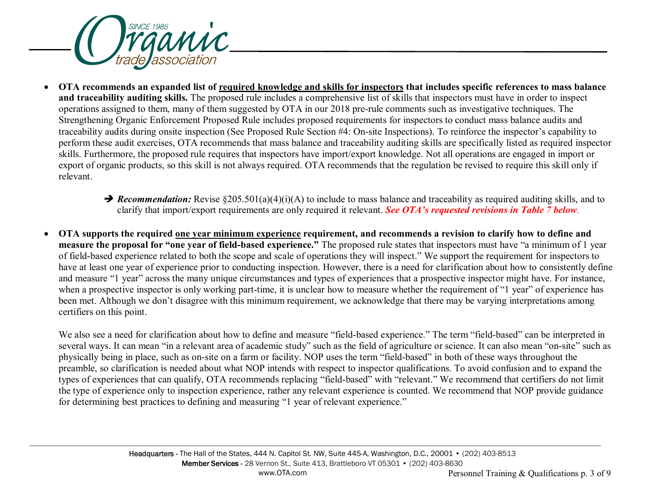

- **OTA recommends an expanded list of required knowledge and skills for inspectors that includes specific references to mass balance and traceability auditing skills.** The proposed rule includes a comprehensive list of skills that inspectors must have in order to inspect operations assigned to them, many of them suggested by OTA in our 2018 pre-rule comments such as investigative techniques. The Strengthening Organic Enforcement Proposed Rule includes proposed requirements for inspectors to conduct mass balance audits and traceability audits during onsite inspection (See Proposed Rule Section #4: On-site Inspections). To reinforce the inspector's capability to perform these audit exercises, OTA recommends that mass balance and traceability auditing skills are specifically listed as required inspector skills. Furthermore, the proposed rule requires that inspectors have import/export knowledge. Not all operations are engaged in import or export of organic products, so this skill is not always required. OTA recommends that the regulation be revised to require this skill only if relevant.
	- → *Recommendation:* Revise §205.501(a)(4)(i)(A) to include to mass balance and traceability as required auditing skills, and to clarify that import/export requirements are only required it relevant. *See OTA's requested revisions in Table 7 below*.
- **OTA supports the required one year minimum experience requirement, and recommends a revision to clarify how to define and measure the proposal for "one year of field-based experience."** The proposed rule states that inspectors must have "a minimum of 1 year of field-based experience related to both the scope and scale of operations they will inspect." We support the requirement for inspectors to have at least one year of experience prior to conducting inspection. However, there is a need for clarification about how to consistently define and measure "1 year" across the many unique circumstances and types of experiences that a prospective inspector might have. For instance, when a prospective inspector is only working part-time, it is unclear how to measure whether the requirement of "1 year" of experience has been met. Although we don't disagree with this minimum requirement, we acknowledge that there may be varying interpretations among certifiers on this point.

We also see a need for clarification about how to define and measure "field-based experience." The term "field-based" can be interpreted in several ways. It can mean "in a relevant area of academic study" such as the field of agriculture or science. It can also mean "on-site" such as physically being in place, such as on-site on a farm or facility. NOP uses the term "field-based" in both of these ways throughout the preamble, so clarification is needed about what NOP intends with respect to inspector qualifications. To avoid confusion and to expand the types of experiences that can qualify, OTA recommends replacing "field-based" with "relevant." We recommend that certifiers do not limit the type of experience only to inspection experience, rather any relevant experience is counted. We recommend that NOP provide guidance for determining best practices to defining and measuring "1 year of relevant experience."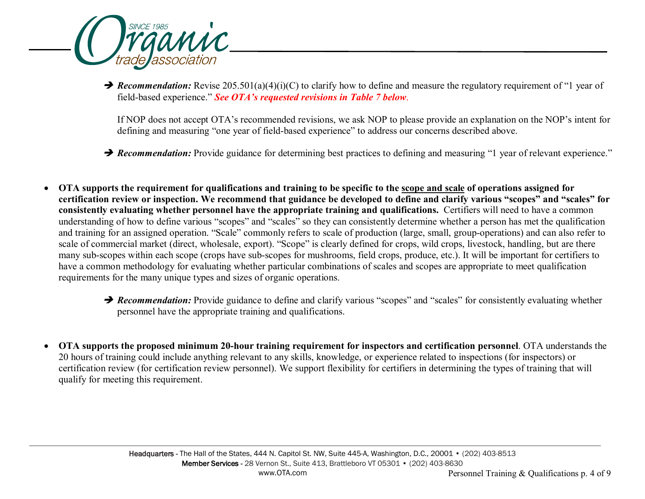

*Recommendation:* Revise 205.501(a)(4)(i)(C) to clarify how to define and measure the regulatory requirement of "1 year of field-based experience." *See OTA's requested revisions in Table 7 below*.

If NOP does not accept OTA's recommended revisions, we ask NOP to please provide an explanation on the NOP's intent for defining and measuring "one year of field-based experience" to address our concerns described above.

**P** Recommendation: Provide guidance for determining best practices to defining and measuring "1 year of relevant experience."

- **OTA supports the requirement for qualifications and training to be specific to the scope and scale of operations assigned for certification review or inspection. We recommend that guidance be developed to define and clarify various "scopes" and "scales" for consistently evaluating whether personnel have the appropriate training and qualifications.** Certifiers will need to have a common understanding of how to define various "scopes" and "scales" so they can consistently determine whether a person has met the qualification and training for an assigned operation. "Scale" commonly refers to scale of production (large, small, group-operations) and can also refer to scale of commercial market (direct, wholesale, export). "Scope" is clearly defined for crops, wild crops, livestock, handling, but are there many sub-scopes within each scope (crops have sub-scopes for mushrooms, field crops, produce, etc.). It will be important for certifiers to have a common methodology for evaluating whether particular combinations of scales and scopes are appropriate to meet qualification requirements for the many unique types and sizes of organic operations.
	- **→ Recommendation:** Provide guidance to define and clarify various "scopes" and "scales" for consistently evaluating whether personnel have the appropriate training and qualifications.
- **OTA supports the proposed minimum 20-hour training requirement for inspectors and certification personnel**. OTA understands the 20 hours of training could include anything relevant to any skills, knowledge, or experience related to inspections (for inspectors) or certification review (for certification review personnel). We support flexibility for certifiers in determining the types of training that will qualify for meeting this requirement.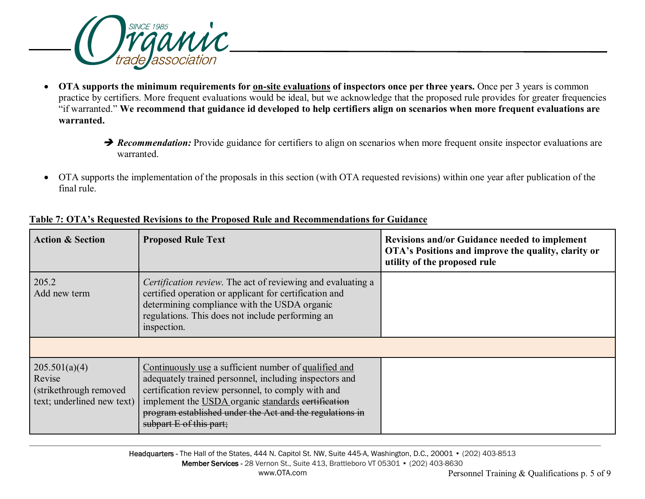

- **OTA supports the minimum requirements for on-site evaluations of inspectors once per three years.** Once per 3 years is common practice by certifiers. More frequent evaluations would be ideal, but we acknowledge that the proposed rule provides for greater frequencies "if warranted." **We recommend that guidance id developed to help certifiers align on scenarios when more frequent evaluations are warranted.**
	- **P** Recommendation: Provide guidance for certifiers to align on scenarios when more frequent onsite inspector evaluations are warranted.
- OTA supports the implementation of the proposals in this section (with OTA requested revisions) within one year after publication of the final rule.

| <b>Action &amp; Section</b>                                                     | <b>Proposed Rule Text</b>                                                                                                                                                                                                                                                                                          | <b>Revisions and/or Guidance needed to implement</b><br>OTA's Positions and improve the quality, clarity or<br>utility of the proposed rule |
|---------------------------------------------------------------------------------|--------------------------------------------------------------------------------------------------------------------------------------------------------------------------------------------------------------------------------------------------------------------------------------------------------------------|---------------------------------------------------------------------------------------------------------------------------------------------|
| 205.2<br>Add new term                                                           | <i>Certification review.</i> The act of reviewing and evaluating a<br>certified operation or applicant for certification and<br>determining compliance with the USDA organic<br>regulations. This does not include performing an<br>inspection.                                                                    |                                                                                                                                             |
| 205.501(a)(4)<br>Revise<br>(strikethrough removed<br>text; underlined new text) | Continuously use a sufficient number of qualified and<br>adequately trained personnel, including inspectors and<br>certification review personnel, to comply with and<br>implement the USDA organic standards eertification<br>program established under the Act and the regulations in<br>subpart E of this part; |                                                                                                                                             |

#### **Table 7: OTA's Requested Revisions to the Proposed Rule and Recommendations for Guidance**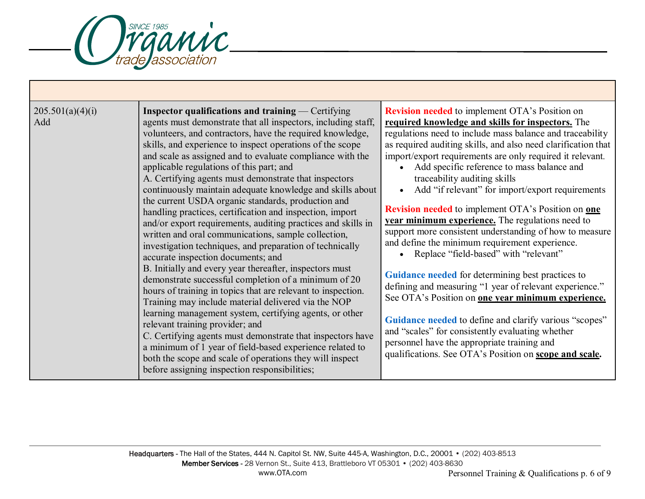

| 205.501(a)(4)(i)<br>Add | <b>Inspector qualifications and training — Certifying</b><br>agents must demonstrate that all inspectors, including staff,<br>volunteers, and contractors, have the required knowledge,<br>skills, and experience to inspect operations of the scope<br>and scale as assigned and to evaluate compliance with the<br>applicable regulations of this part; and<br>A. Certifying agents must demonstrate that inspectors<br>continuously maintain adequate knowledge and skills about<br>the current USDA organic standards, production and<br>handling practices, certification and inspection, import<br>and/or export requirements, auditing practices and skills in<br>written and oral communications, sample collection,<br>investigation techniques, and preparation of technically<br>accurate inspection documents; and<br>B. Initially and every year thereafter, inspectors must<br>demonstrate successful completion of a minimum of 20<br>hours of training in topics that are relevant to inspection.<br>Training may include material delivered via the NOP<br>learning management system, certifying agents, or other<br>relevant training provider; and<br>C. Certifying agents must demonstrate that inspectors have<br>a minimum of 1 year of field-based experience related to<br>both the scope and scale of operations they will inspect<br>before assigning inspection responsibilities; | <b>Revision needed</b> to implement OTA's Position on<br>required knowledge and skills for inspectors. The<br>regulations need to include mass balance and traceability<br>as required auditing skills, and also need clarification that<br>import/export requirements are only required it relevant.<br>Add specific reference to mass balance and<br>traceability auditing skills<br>Add "if relevant" for import/export requirements<br>$\bullet$<br>Revision needed to implement OTA's Position on one<br><b>year minimum experience.</b> The regulations need to<br>support more consistent understanding of how to measure<br>and define the minimum requirement experience.<br>Replace "field-based" with "relevant"<br>Guidance needed for determining best practices to<br>defining and measuring "1 year of relevant experience."<br>See OTA's Position on one year minimum experience.<br>Guidance needed to define and clarify various "scopes"<br>and "scales" for consistently evaluating whether<br>personnel have the appropriate training and<br>qualifications. See OTA's Position on <b>scope and scale.</b> |
|-------------------------|---------------------------------------------------------------------------------------------------------------------------------------------------------------------------------------------------------------------------------------------------------------------------------------------------------------------------------------------------------------------------------------------------------------------------------------------------------------------------------------------------------------------------------------------------------------------------------------------------------------------------------------------------------------------------------------------------------------------------------------------------------------------------------------------------------------------------------------------------------------------------------------------------------------------------------------------------------------------------------------------------------------------------------------------------------------------------------------------------------------------------------------------------------------------------------------------------------------------------------------------------------------------------------------------------------------------------------------------------------------------------------------------------------------|---------------------------------------------------------------------------------------------------------------------------------------------------------------------------------------------------------------------------------------------------------------------------------------------------------------------------------------------------------------------------------------------------------------------------------------------------------------------------------------------------------------------------------------------------------------------------------------------------------------------------------------------------------------------------------------------------------------------------------------------------------------------------------------------------------------------------------------------------------------------------------------------------------------------------------------------------------------------------------------------------------------------------------------------------------------------------------------------------------------------------------|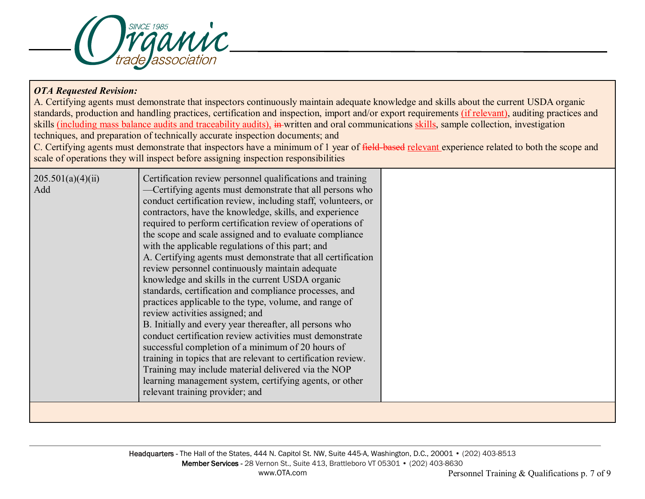

# *OTA Requested Revision:*

A. Certifying agents must demonstrate that inspectors continuously maintain adequate knowledge and skills about the current USDA organic standards, production and handling practices, certification and inspection, import and/or export requirements (if relevant), auditing practices and skills (including mass balance audits and traceability audits), in written and oral communications skills, sample collection, investigation techniques, and preparation of technically accurate inspection documents; and

C. Certifying agents must demonstrate that inspectors have a minimum of 1 year of field-based relevant experience related to both the scope and scale of operations they will inspect before assigning inspection responsibilities

| $\mid$ 205.501(a)(4)(ii)<br>Add | Certification review personnel qualifications and training<br>-Certifying agents must demonstrate that all persons who<br>conduct certification review, including staff, volunteers, or<br>contractors, have the knowledge, skills, and experience<br>required to perform certification review of operations of<br>the scope and scale assigned and to evaluate compliance<br>with the applicable regulations of this part; and<br>A. Certifying agents must demonstrate that all certification<br>review personnel continuously maintain adequate<br>knowledge and skills in the current USDA organic<br>standards, certification and compliance processes, and<br>practices applicable to the type, volume, and range of<br>review activities assigned; and<br>B. Initially and every year thereafter, all persons who<br>conduct certification review activities must demonstrate<br>successful completion of a minimum of 20 hours of<br>training in topics that are relevant to certification review.<br>Training may include material delivered via the NOP |  |
|---------------------------------|-------------------------------------------------------------------------------------------------------------------------------------------------------------------------------------------------------------------------------------------------------------------------------------------------------------------------------------------------------------------------------------------------------------------------------------------------------------------------------------------------------------------------------------------------------------------------------------------------------------------------------------------------------------------------------------------------------------------------------------------------------------------------------------------------------------------------------------------------------------------------------------------------------------------------------------------------------------------------------------------------------------------------------------------------------------------|--|
|                                 | learning management system, certifying agents, or other<br>relevant training provider; and                                                                                                                                                                                                                                                                                                                                                                                                                                                                                                                                                                                                                                                                                                                                                                                                                                                                                                                                                                        |  |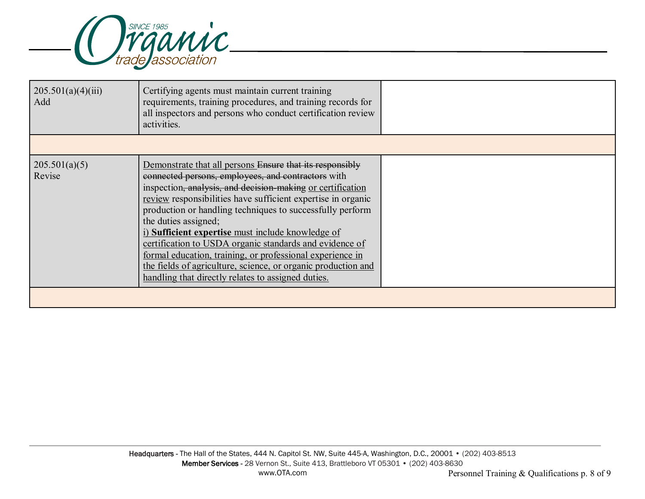

| 205.501(a)(4)(iii)<br>Add | Certifying agents must maintain current training<br>requirements, training procedures, and training records for<br>all inspectors and persons who conduct certification review<br>activities.                                                                                                                                                                                                                                                                                                                                                                                                                                         |  |
|---------------------------|---------------------------------------------------------------------------------------------------------------------------------------------------------------------------------------------------------------------------------------------------------------------------------------------------------------------------------------------------------------------------------------------------------------------------------------------------------------------------------------------------------------------------------------------------------------------------------------------------------------------------------------|--|
|                           |                                                                                                                                                                                                                                                                                                                                                                                                                                                                                                                                                                                                                                       |  |
| 205.501(a)(5)<br>Revise   | Demonstrate that all persons Ensure that its responsibly<br>connected persons, employees, and contractors with<br>inspection, analysis, and decision-making or certification<br>review responsibilities have sufficient expertise in organic<br>production or handling techniques to successfully perform<br>the duties assigned;<br>i) Sufficient expertise must include knowledge of<br>certification to USDA organic standards and evidence of<br>formal education, training, or professional experience in<br>the fields of agriculture, science, or organic production and<br>handling that directly relates to assigned duties. |  |